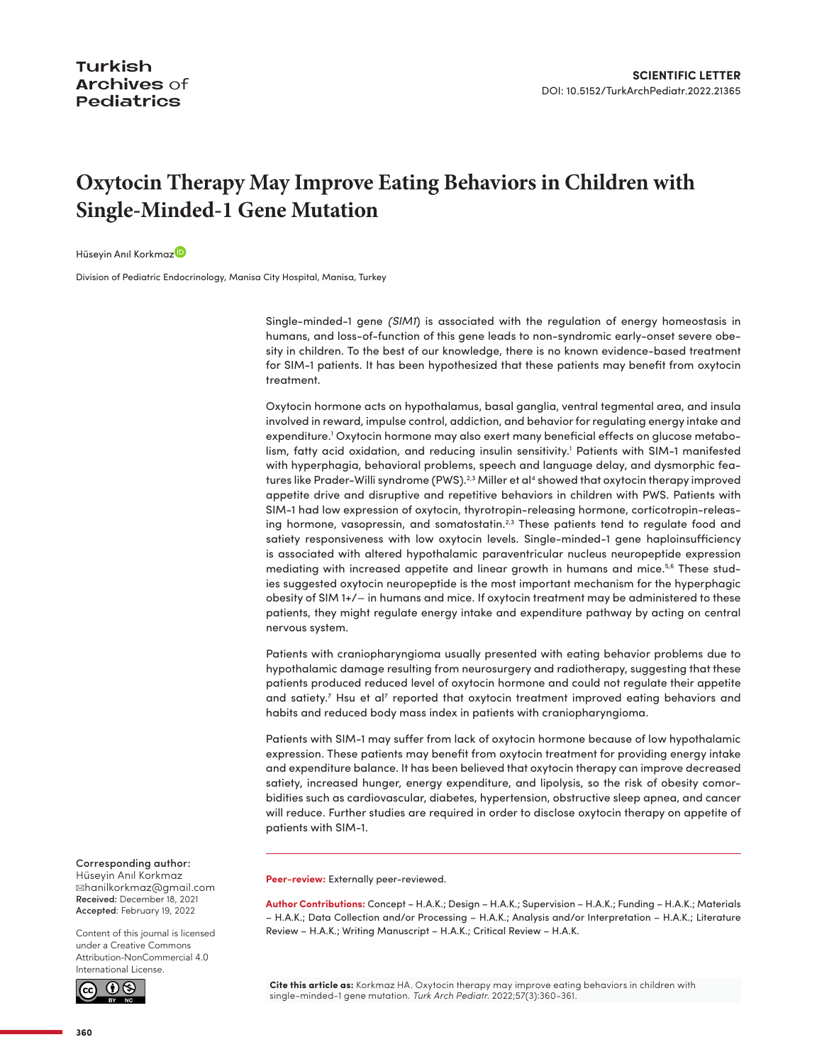## **Oxytocin Therapy May Improve Eating Behaviors in Children with Single-Minded-1 Gene Mutation**

Hüseyin Anıl Korkma[z](http://orcid.org/0000-0001-5800-9014)<sup>D</sup>

Division of Pediatric Endocrinology, Manisa City Hospital, Manisa, Turkey

Single-minded-1 gene *(SIM1*) is associated with the regulation of energy homeostasis in humans, and loss-of-function of this gene leads to non-syndromic early-onset severe obesity in children. To the best of our knowledge, there is no known evidence-based treatment for SIM-1 patients. It has been hypothesized that these patients may benefit from oxytocin treatment.

Oxytocin hormone acts on hypothalamus, basal ganglia, ventral tegmental area, and insula involved in reward, impulse control, addiction, and behavior for regulating energy intake and expenditure.<sup>1</sup> Oxytocin hormone may also exert many beneficial effects on glucose metabo-lism, fatty acid oxidation, and reducing insulin sensitivity.<sup>[1](#page-1-0)</sup> Patients with SIM-1 manifested with hyperphagia, behavioral problems, speech and language delay, and dysmorphic features like Prader-Willi syndrome (PWS).<sup>2,3</sup> Miller et al<sup>4</sup> showed that oxytocin therapy improved appetite drive and disruptive and repetitive behaviors in children with PWS. Patients with SIM-1 had low expression of oxytocin, thyrotropin-releasing hormone, corticotropin-releasing hormone, vasopressin, and somatostatin.<sup>2,3</sup> These patients tend to regulate food and satiety responsiveness with low oxytocin levels. Single-minded-1 gene haploinsufficiency is associated with altered hypothalamic paraventricular nucleus neuropeptide expression mediating with increased appetite and linear growth in humans and mice.<sup>5,6</sup> These studies suggested oxytocin neuropeptide is the most important mechanism for the hyperphagic obesity of SIM 1+/− in humans and mice. If oxytocin treatment may be administered to these patients, they might regulate energy intake and expenditure pathway by acting on central nervous system.

Patients with craniopharyngioma usually presented with eating behavior problems due to hypothalamic damage resulting from neurosurgery and radiotherapy, suggesting that these patients produced reduced level of oxytocin hormone and could not regulate their appetite and satiety.<sup>[7](#page-1-6)</sup> Hsu et al<sup>7</sup> reported that oxytocin treatment improved eating behaviors and habits and reduced body mass index in patients with craniopharyngioma.

Patients with SIM-1 may suffer from lack of oxytocin hormone because of low hypothalamic expression. These patients may benefit from oxytocin treatment for providing energy intake and expenditure balance. It has been believed that oxytocin therapy can improve decreased satiety, increased hunger, energy expenditure, and lipolysis, so the risk of obesity comorbidities such as cardiovascular, diabetes, hypertension, obstructive sleep apnea, and cancer will reduce. Further studies are required in order to disclose oxytocin therapy on appetite of patients with SIM-1.

**Peer-review:** Externally peer-reviewed.

**Author Contributions:** Concept – H.A.K.; Design – H.A.K.; Supervision – H.A.K.; Funding – H.A.K.; Materials – H.A.K.; Data Collection and/or Processing – H.A.K.; Analysis and/or Interpretation – H.A.K.; Literature Review – H.A.K.; Writing Manuscript – H.A.K.; Critical Review – H.A.K.

**Cite this article as:** Korkmaz HA. Oxytocin therapy may improve eating behaviors in children with single-minded-1 gene mutation. *Turk Arch Pediatr.* 2022;57(3):360-361.

## Corresponding author:

Hüseyin Anıl Korkmaz ✉[hanilkorkmaz@gmail.com](mailto:hanilkorkmaz@gmail.com) Received: December 18, 2021 Accepted: February 19, 2022

Content of this journal is licensed under a [Creative Commons](https://creativecommons.org/licenses/by-nc/4.0/)  [Attribution-NonCommercial 4.0](https://creativecommons.org/licenses/by-nc/4.0/)  [International License.](https://creativecommons.org/licenses/by-nc/4.0/)